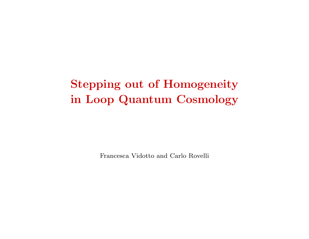# Stepping out of Homogeneity in Loop Quantum Cosmology

Francesca Vidotto and Carlo Rovelli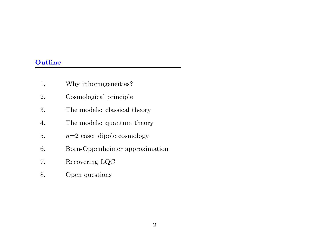# **Outline**

| 1. | Why inhomogeneities?           |
|----|--------------------------------|
| 2. | Cosmological principle         |
| 3. | The models: classical theory   |
| 4. | The models: quantum theory     |
| 5. | $n=2$ case: dipole cosmology   |
| 6. | Born-Oppenheimer approximation |
| 7. | Recovering LQC                 |
| 8. | Open questions                 |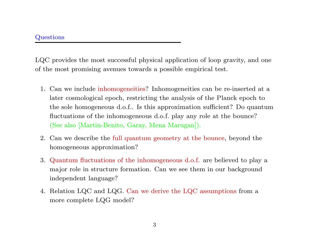LQC provides the most successful <sup>p</sup>hysical application of loop gravity, and one of the most promising avenues towards <sup>a</sup> possible empirical test.

- 1. Can we include inhomogeneities? Inhomogeneities can be re-inserted at <sup>a</sup> later cosmological epoch, restricting the analysis of the Planck epoch to the sole homogeneous d.o.f.. Is this approximation sufficient? Do quantum fluctuations of the inhomogeneous d.o.f. play any role at the bounce? (See also [Martin-Benito, Garay, Mena Marugan]).
- 2. Can we describe the full quantum geometry at the bounce, beyond the homogeneous approximation?
- 3. Quantum fluctuations of the inhomogeneous d.o.f. are believed to <sup>p</sup>lay <sup>a</sup> major role in structure formation. Can we see them in our background independent language?
- 4. Relation LQC and LQG. Can we derive the LQC assumptions from <sup>a</sup> more complete LQG model?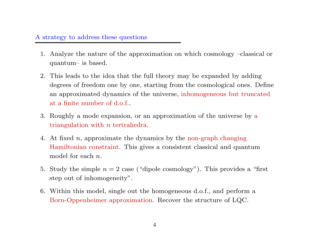# A strategy to address these questions

- 1. Analyze the nature of the approximation on which cosmology –classical or quantum– is based.
- 2. This leads to the idea that the full theory may be expanded by adding degrees of freedom one by one, starting from the cosmological ones. Define an approximated dynamics of the universe, inhomogeneous but truncated at <sup>a</sup> finite number of d.o.f..
- 3. Roughly <sup>a</sup> mode expansion, or an approximation of the universe by a triangulation with  $n$  tertrahedra.
- 4. At fixed <sup>n</sup>, approximate the dynamics by the non-graph changing Hamiltonian constraint. This <sup>g</sup>ives <sup>a</sup> consistent classical and quantum  $\mod$ el for each  $n.$
- 5. Study the simple  $n = 2$  case ("dipole cosmology"). This provides a "first step out of inhomogeneity".
- 6. Within this model, single out the homogeneous d.o.f., and perform <sup>a</sup> Born-Oppenheimer approximation. Recover the structure of LQC.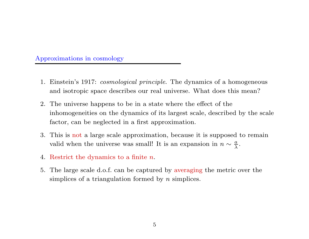# Approximations in cosmology

- 1. Einstein's 1917: cosmological principle. The dynamics of <sup>a</sup> homogeneous and isotropic space describes our real universe. What does this mean?
- 2. The universe happens to be in <sup>a</sup> state where the effect of the inhomogeneities on the dynamics of its largest scale, described by the scale factor, can be neglected in <sup>a</sup> first approximation.
- 3. This is not <sup>a</sup> large scale approximation, because it is supposed to remain valid when the universe was small! It is an expansion in  $n \sim \frac{a}{\lambda}$ .
- 4. Restrict the dynamics to <sup>a</sup> finite <sup>n</sup>.
- 5. The large scale d.o.f. can be captured by averaging the metric over the simplices of a triangulation formed by  $n$  simplices.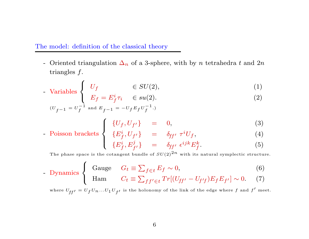# The model: definition of the classical theory

- Oriented triangulation  $\Delta_n$  of a 3-sphere, with by n tetrahedra t and 2n triangles f.

- Variables 
$$
\begin{cases} U_f & \in SU(2), \\ F_s = F^i \tau, & \in SU(2), \end{cases}
$$
 (1)

$$
E_f = E_f^i \tau_i \quad \in su(2). \tag{2}
$$

$$
(U_{f-1} = U_f^{-1} \text{ and } E_{f-1} = -U_f E_f U_f^{-1}.)
$$
\n
$$
\int \{I/\mathcal{L} |U_{\mathcal{L}}\} = 0
$$
\n(3)

$$
\{U_f, U_{f'}\} = 0, \tag{3}
$$

$$
\begin{cases}\n\{U_f, U_{f'}\} &= 0, \\
\{E_f^i, U_{f'}\} &= \delta_{ff'} \tau^i U_f, \\
\{E_f^i, E_{f'}^j\} &= \delta_{ff'} \epsilon^{ijk} E_f^k.\n\end{cases}\n\tag{3}
$$

$$
\{E_f^i, E_{f'}^j\} = \delta_{ff'} \epsilon^{ijk} E_f^k. \tag{5}
$$

The phase space is the cotangent bundle of  $SU(2)^{\textstyle 2n}$  with its natural symplectic structure.

1.1. 
$$
\text{Dynamics} \begin{cases} \text{Gauge} & G_t \equiv \sum_{f \in t} E_f \sim 0, \\ \text{Ham} & C_t \equiv \sum_{f f' \in t} Tr[(U_{ff'} - U_{f'f}) E_f E_{f'}] \sim 0. \end{cases} \tag{6}
$$

$$
\text{Ham} \qquad C_t \equiv \sum_{ff' \in t} Tr[(U_{ff'} - U_{f'f})E_f E_{f'}] \sim 0. \tag{7}
$$

where  $U_{ff'}=U_fU_n\ldots U_1U_{f'}$  is the holonomy of the link of the edge where  $f$  and  $f'$  meet.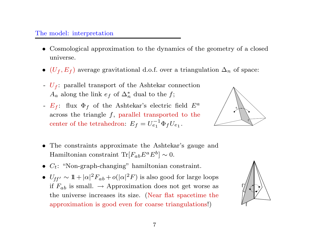# The model: interpretation

- Cosmological approximation to the dynamics of the geometry of <sup>a</sup> closed universe.
- ( $U_f, E_f$ ) average gravitational d.o.f. over a triangulation  $\Delta_n$  of space:
- $U_f$ : parallel transport of the Ashtekar connection  $A_a$  along the link  $e_f$  of  $\Delta_n^*$  dual to the f;
- $E_f$ : flux  $\Phi_f$  of the Ashtekar's electric field  $E^a$ across the triangle  $f$ , parallel transported to the center of the tetrahedron:  $E_f = U_{e_1}^{-1} \Phi_f U_{e_1}$ .



- The constraints approximate the Ashtekar's gauge and Hamiltonian constraint Tr[ $F_{ab}E^aE^b$ ] ~ 0.
- $C_t$ : "Non-graph-changing" hamiltonian constraint.
- $U_{ff'} \sim 11 + |\alpha|^2 F_{ab} + o(|\alpha|^2 F)$  is also good for large loops if  $F_{ab}$  is small.  $\rightarrow$  Approximation does not get worse as the universe increases its size. (Near flat spacetime the approximation is good even for coarse triangulations!)

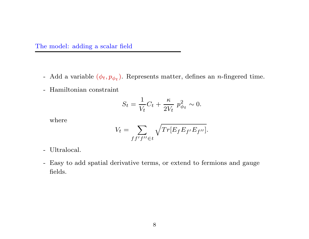The model: adding <sup>a</sup> scalar field

- Add a variable  $(\phi_t, p_{\phi_t})$ . Represents matter, defines an *n*-fingered time.
- Hamiltonian constraint

$$
S_t = \frac{1}{V_t}C_t + \frac{\kappa}{2V_t} p_{\phi_t}^2 \sim 0.
$$

where

$$
V_t = \sum_{ff'f'' \in t} \sqrt{Tr[E_f E_{f'} E_{f''}]}.
$$

- Ultralocal.
- Easy to add spatial derivative terms, or extend to fermions and gauge fields.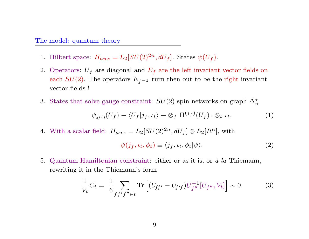#### The model: quantum theory

- 1. Hilbert space:  $H_{aux} = L_2[SU(2)^{2n}, dU_f]$ . States  $\psi(U_f)$ .
- 2. Operators:  $U_f$  are diagonal and  $E_f$  are the left invariant vector fields on each  $SU(2)$ . The operators  $E_{f-1}$  turn then out to be the right invariant vector fields !
- 3. States that solve gauge constraint:  $SU(2)$  spin networks on graph  $\Delta_n^*$

$$
\psi_{j_f} \iota_t(U_f) \equiv \langle U_f | j_f, \iota_t \rangle \equiv \otimes_f \Pi^{(j_f)}(U_f) \cdot \otimes_t \iota_t. \tag{1}
$$

4. With a scalar field:  $H_{aux} = L_2[SU(2)^{2n}, dU_f] \otimes L_2[R^n]$ , with

$$
\psi(j_f, \iota_t, \phi_t) \equiv \langle j_f, \iota_t, \phi_t | \psi \rangle. \tag{2}
$$

5. Quantum Hamiltonian constraint: either or as it is, or  $\dot{a}$  la Thiemann, rewriting it in the Thiemann's form

$$
\frac{1}{V_t}C_t = \frac{1}{6} \sum_{f f' f'' \in t} \text{Tr}\left[ (U_{ff'} - U_{f'f}) U_{f''}^{-1} [U_{f''}, V_t] \right] \sim 0. \tag{3}
$$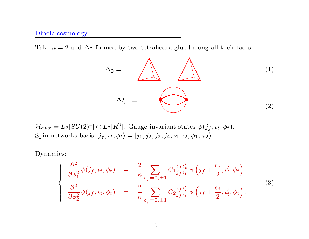# Dipole cosmology

Take  $n = 2$  and  $\Delta_2$  formed by two tetrahedra glued along all their faces.

$$
\Delta_2 = \bigotimes_{\Delta_2^*} \bigotimes_{(2)}
$$

 $\mathcal{H}_{aux} = L_2[SU(2)^4] \otimes L_2[R^2]$ . Gauge invariant states  $\psi(j_f, \iota_t, \phi_t)$ . Spin networks basis  $|j_f, \iota_t, \phi_t \rangle = |j_1, j_2, j_3, j_4, \iota_1, \iota_2, \phi_1, \phi_2 \rangle$ .

Dynamics:

$$
\begin{cases}\n\frac{\partial^2}{\partial \phi_1^2} \psi(j_f, \iota_t, \phi_t) = \frac{2}{\kappa} \sum_{\epsilon_f = 0, \pm 1} C_1 \frac{\epsilon_f \iota_t'}{j_f \iota_t} \psi(j_f + \frac{\epsilon_j}{2}, \iota_t', \phi_t), \\
\frac{\partial^2}{\partial \phi_2^2} \psi(j_f, \iota_t, \phi_t) = \frac{2}{\kappa} \sum_{\epsilon_f = 0, \pm 1} C_2 \frac{\epsilon_f \iota_t'}{j_f \iota_t} \psi(j_f + \frac{\epsilon_j}{2}, \iota_t', \phi_t).\n\end{cases} (3)
$$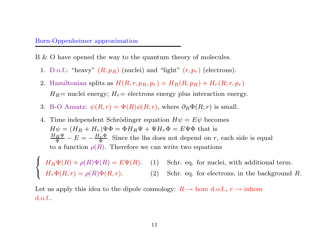#### Born-Oppenheimer approximation

B & O have opened the way to the quantum theory of molecules.

- 1. D.o.f.: "heavy"  $(R, p_R)$  (nuclei) and "light"  $(r, p_r)$  (electrons).
- 2. Hamiltonian splits as  $H(R, r, p_R, p_r) = H_R(R, p_R) + H_r(R; r, p_r)$  $H_R$ = nuclei energy;  $H_r$ = electrons energy plus interaction energy.
- 3. B-O Ansatz:  $\psi(R,r) = \Psi(R)\phi(R;r)$ , where  $\partial_R\Phi(R;r)$  is small.
- 4. Time independent Schrödinger equation  $H\psi = E\psi$  becomes  $H\psi = (H_R + H_r)\Psi\Phi = \Phi H_R \Psi + \Psi H_r \Phi = E\Psi\Phi$  that is  $\frac{H_R \Psi}{\Psi} - E = -\frac{H_r \Phi}{\Phi}$ . Since the lhs does not depend on r, each side is equal to a function  $\rho(R)$ . Therefore we can write two equations

 $H_R \Psi(R) + \rho(R) \Psi(R) = E \Psi(R)$ . (1) Schr. eq. for nuclei, with additional term.<br>  $H_r \Phi(R, r) = \rho(R) \Phi(R, r)$ . (2) Schr. eq. for electrons, in the background R.

Let us apply this idea to the dipole cosmology:  $R \to \text{hom d.o.f.}, r \to \text{inhom}$ d.o.f..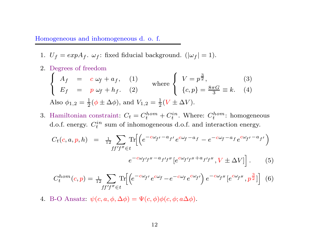#### Homogeneous and inhomogeneous d. o. f.

1.  $U_f = expA_f$ .  $\omega_f$ : fixed fiducial background.  $(|\omega_f| = 1)$ .

2. Degrees of freedom

$$
\begin{cases}\nA_f = c \omega_f + a_f, & (1) \\
E_f = p \omega_f + h_f. & (2)\n\end{cases} \text{ where }\n\begin{cases}\nV = p^{\frac{3}{2}}, & (3) \\
\{c, p\} = \frac{8\pi G}{3} \equiv k. & (4)\n\end{cases}
$$
\nAlso  $\phi_{1,2} = \frac{1}{2}(\phi \pm \Delta \phi)$ , and  $V_{1,2} = \frac{1}{2}(V \pm \Delta V)$ .

3. Hamiltonian constraint:  $C_t = C_t^{hom} + C_t^{in}$ . Where:  $C_t^{hom}$ : homogeneous d.o.f. energy.  $C_t^{in}$  sum of inhomogeneous d.o.f. and interaction energy.

$$
C_t(c, a, p, h) = \frac{1}{12} \sum_{ff'f'' \in t} \text{Tr} \Big[ \Big( e^{-c\omega_{f'} - a_{f'}} e^{c\omega_{f} - a_{f}} - e^{-c\omega_{f} - a_{f}} e^{c\omega_{f'} - a_{f'}} \Big)
$$

$$
e^{-c\omega_{f'} f'' - a_{f'} f''} \Big[ e^{c\omega_{f'} f'' + a_{f'} f''}, V \pm \Delta V \Big] \Big]. \tag{5}
$$

$$
C_t^{hom}(c,p) = \frac{1}{12} \sum_{ff'f'' \in t} \text{Tr}\Big[ \Big( e^{-c\omega_{f'}} e^{c\omega_{f}} - e^{-c\omega_{f}} e^{c\omega_{f'}} \Big) e^{-c\omega_{f''}} \big[ e^{c\omega_{f''}} , p^{\frac{3}{2}} \big] \Big] \tag{6}
$$

4. B-O Ansatz:  $\psi(c, a, \phi, \Delta \phi) = \Psi(c, \phi) \phi(c, \phi; a \Delta \phi)$ .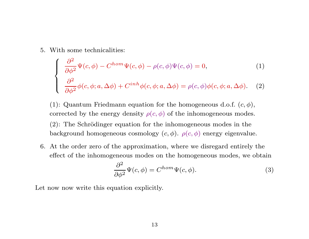5. With some technicalities:

$$
\begin{cases}\n\frac{\partial^2}{\partial \phi^2} \Psi(c, \phi) - C^{hom} \Psi(c, \phi) - \rho(c, \phi) \Psi(c, \phi) = 0, \\
\frac{\partial^2}{\partial \phi^2} \phi(c, \phi; a, \Delta \phi) + C^{inh} \phi(c, \phi; a, \Delta \phi) = \rho(c, \phi) \phi(c, \phi; a, \Delta \phi). \n\end{cases}
$$
\n(1)

(1): Quantum Friedmann equation for the homogeneous d.o.f.  $(c, \phi)$ , corrected by the energy density  $\rho(c, \phi)$  of the inhomogeneous modes.

 $(2)$ : The Schrödinger equation for the inhomogeneous modes in the background homogeneous cosmology  $(c,\phi).$   $\rho(c,\phi)$  energy eigenvalue.

6. At the order zero of the approximation, where we disregard entirely the effect of the inhomogeneous modes on the homogeneous modes, we obtain

$$
\frac{\partial^2}{\partial \phi^2} \Psi(c, \phi) = C^{hom} \Psi(c, \phi).
$$
 (3)

Let now now write this equation explicitly.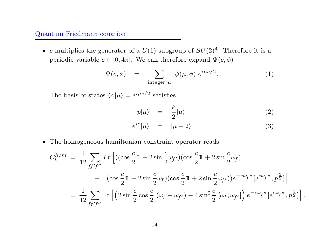# Quantum Friedmann equation

• c multiplies the generator of a  $U(1)$  subgroup of  $SU(2)^4$ . Therefore it is a periodic variable  $c \in [0, 4\pi]$ . We can therefore expand  $\Psi(c, \phi)$ <br>  $\Psi(c, \phi) = \sum \psi(\mu, \phi) e^{i\mu c/2}$ .

$$
\Psi(c,\phi) = \sum_{\text{integer } \mu} \psi(\mu,\phi) e^{i\mu c/2}.
$$
 (1)

The basis of states  $\langle c | \mu \rangle = e^{i \mu c/2}$  satisfies

$$
p|\mu\rangle = \frac{k}{2}|\mu\rangle \tag{2}
$$

$$
e^{ic}|\mu\rangle = |\mu + 2\rangle \tag{3}
$$

• The homogeneous hamiltonian constraint operator reads

$$
C_t^{hom} = \frac{1}{12} \sum_{ff'f''} Tr \left[ ((\cos \frac{c}{2} \mathbb{1} - 2 \sin \frac{c}{2} \omega_{f'}) (\cos \frac{c}{2} \mathbb{1} + 2 \sin \frac{c}{2} \omega_f) - (\cos \frac{c}{2} \mathbb{1} - 2 \sin \frac{c}{2} \omega_f) (\cos \frac{c}{2} \mathbb{1} + 2 \sin \frac{c}{2} \omega_{f'}) e^{-c\omega_{f''}} [e^{c\omega_{f''}}, p^{\frac{3}{2}}] \right]
$$
  
= 
$$
\frac{1}{12} \sum_{ff'f''} Tr \left[ \left( 2 \sin \frac{c}{2} \cos \frac{c}{2} (\omega_f - \omega_{f'}) - 4 \sin^2 \frac{c}{2} [\omega_f, \omega_{f'}] \right) e^{-c\omega_{f''}} [e^{c\omega_{f''}}, p^{\frac{3}{2}}] \right].
$$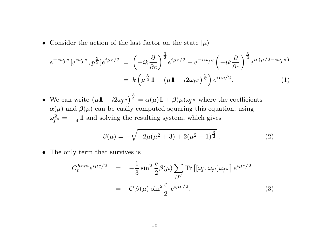• Consider the action of the last factor on the state  $|\mu\rangle$ 

$$
e^{-c\omega_f \nu} \left[e^{c\omega_f \nu}, p^{\frac{3}{2}}\right] e^{i\mu c/2} = \left(-ik\frac{\partial}{\partial c}\right)^{\frac{3}{2}} e^{i\mu c/2} - e^{-c\omega_f \nu} \left(-ik\frac{\partial}{\partial c}\right)^{\frac{3}{2}} e^{ic(\mu/2 - i\omega_f \nu)}
$$

$$
= k\left(\mu^{\frac{3}{2}}\mathbb{1} - \left(\mu\mathbb{1} - i2\omega_f \nu\right)^{\frac{3}{2}}\right) e^{i\mu c/2}.
$$
(1)

• We can write  $(\mu \mathbb{1} - i2\omega_{f''})^{\frac{3}{2}}$  $\overline{\Omega}^{\pm} = \alpha(\mu) \mathbb{1} + \beta(\mu) \omega_{f''}$  where the coefficients  $\alpha(\mu)$  and  $\beta(\mu)$  can be easily computed squaring this equation, using  $\omega_{\cdot}^2$  $f^{\prime\prime}$  $=-\frac{1}{4}11$  and solving the resulting system, which gives

$$
\beta(\mu) = -\sqrt{-2\mu(\mu^2 + 3) + 2(\mu^2 - 1)^{\frac{3}{2}}}.
$$
\n(2)

• The only term that survives is

$$
C_t^{hom}e^{i\mu c/2} = -\frac{1}{3}\sin^2\frac{c}{2}\beta(\mu)\sum_{ff'} \text{Tr}\left[ [\omega_f, \omega_{f'}]\omega_{f''} \right]e^{i\mu c/2}
$$

$$
= C\beta(\mu)\sin^2\frac{c}{2}e^{i\mu c/2}.
$$
 (3)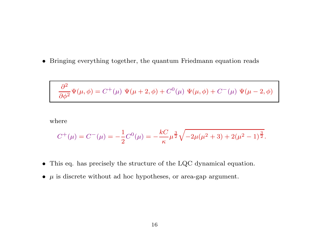• Bringing everything together, the quantum Friedmann equation reads

$$
\frac{\partial^2}{\partial \phi^2} \Psi(\mu, \phi) = C^+(\mu) \Psi(\mu + 2, \phi) + C^0(\mu) \Psi(\mu, \phi) + C^-(\mu) \Psi(\mu - 2, \phi)
$$

where

$$
C^{+}(\mu) = C^{-}(\mu) = -\frac{1}{2}C^{0}(\mu) = -\frac{kC}{\kappa}\mu^{\frac{3}{2}}\sqrt{-2\mu(\mu^{2}+3)+2(\mu^{2}-1)^{\frac{3}{2}}}.
$$

- This eq. has precisely the structure of the LQC dynamical equation.
- $\bullet$   $\mu$  is discrete without ad hoc hypotheses, or area-gap argument.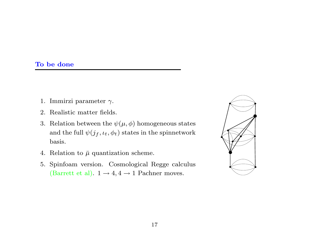# To be done

- 1. Immirzi parameter  $\gamma$ .
- 2. Realistic matter fields.
- 3. Relation between the  $\psi(\mu,\phi)$  homogeneous states and the full  $\psi(j_f,\iota_t,\phi_t)$  states in the spinnetwork basis.
- 4. Relation to  $\bar{\mu}$  quantization scheme.
- 5. Spinfoam version. Cosmological Regge calculus (Barrett et al).  $1 \rightarrow 4, 4 \rightarrow 1$  Pachner moves.